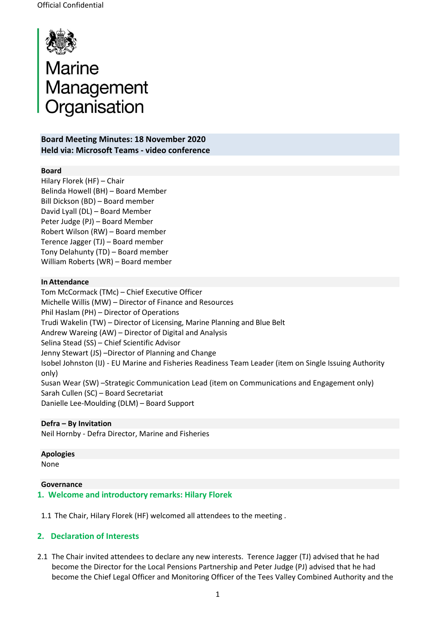

# Marine<br>Management<br>Organisation

**Board Meeting Minutes: 18 November 2020 Held via: Microsoft Teams - video conference**

#### **Board**

Hilary Florek (HF) – Chair Belinda Howell (BH) – Board Member Bill Dickson (BD) – Board member David Lyall (DL) – Board Member Peter Judge (PJ) – Board Member Robert Wilson (RW) – Board member Terence Jagger (TJ) – Board member Tony Delahunty (TD) – Board member William Roberts (WR) – Board member

#### **In Attendance**

Tom McCormack (TMc) – Chief Executive Officer Michelle Willis (MW) – Director of Finance and Resources Phil Haslam (PH) – Director of Operations Trudi Wakelin (TW) – Director of Licensing, Marine Planning and Blue Belt Andrew Wareing (AW) – Director of Digital and Analysis Selina Stead (SS) – Chief Scientific Advisor Jenny Stewart (JS) –Director of Planning and Change Isobel Johnston (IJ) - EU Marine and Fisheries Readiness Team Leader (item on Single Issuing Authority only) Susan Wear (SW) –Strategic Communication Lead (item on Communications and Engagement only) Sarah Cullen (SC) – Board Secretariat Danielle Lee-Moulding (DLM) – Board Support

# **Defra – By Invitation**

Neil Hornby - Defra Director, Marine and Fisheries

**Apologies**

None

#### **Governance**

**1. Welcome and introductory remarks: Hilary Florek**

1.1 The Chair, Hilary Florek (HF) welcomed all attendees to the meeting .

#### **2. Declaration of Interests**

2.1 The Chair invited attendees to declare any new interests. Terence Jagger (TJ) advised that he had become the Director for the Local Pensions Partnership and Peter Judge (PJ) advised that he had become the Chief Legal Officer and Monitoring Officer of the Tees Valley Combined Authority and the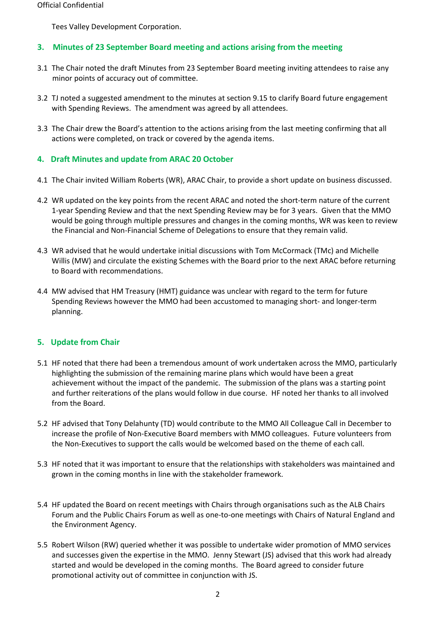Tees Valley Development Corporation.

# **3. Minutes of 23 September Board meeting and actions arising from the meeting**

- 3.1 The Chair noted the draft Minutes from 23 September Board meeting inviting attendees to raise any minor points of accuracy out of committee.
- 3.2 TJ noted a suggested amendment to the minutes at section 9.15 to clarify Board future engagement with Spending Reviews. The amendment was agreed by all attendees.
- 3.3 The Chair drew the Board's attention to the actions arising from the last meeting confirming that all actions were completed, on track or covered by the agenda items.

# **4. Draft Minutes and update from ARAC 20 October**

- 4.1 The Chair invited William Roberts (WR), ARAC Chair, to provide a short update on business discussed.
- 4.2 WR updated on the key points from the recent ARAC and noted the short-term nature of the current 1-year Spending Review and that the next Spending Review may be for 3 years. Given that the MMO would be going through multiple pressures and changes in the coming months, WR was keen to review the Financial and Non-Financial Scheme of Delegations to ensure that they remain valid.
- 4.3 WR advised that he would undertake initial discussions with Tom McCormack (TMc) and Michelle Willis (MW) and circulate the existing Schemes with the Board prior to the next ARAC before returning to Board with recommendations.
- 4.4 MW advised that HM Treasury (HMT) guidance was unclear with regard to the term for future Spending Reviews however the MMO had been accustomed to managing short- and longer-term planning.

# **5. Update from Chair**

- 5.1 HF noted that there had been a tremendous amount of work undertaken across the MMO, particularly highlighting the submission of the remaining marine plans which would have been a great achievement without the impact of the pandemic. The submission of the plans was a starting point and further reiterations of the plans would follow in due course. HF noted her thanks to all involved from the Board.
- 5.2 HF advised that Tony Delahunty (TD) would contribute to the MMO All Colleague Call in December to increase the profile of Non-Executive Board members with MMO colleagues. Future volunteers from the Non-Executives to support the calls would be welcomed based on the theme of each call.
- 5.3 HF noted that it was important to ensure that the relationships with stakeholders was maintained and grown in the coming months in line with the stakeholder framework.
- 5.4 HF updated the Board on recent meetings with Chairs through organisations such as the ALB Chairs Forum and the Public Chairs Forum as well as one-to-one meetings with Chairs of Natural England and the Environment Agency.
- 5.5 Robert Wilson (RW) queried whether it was possible to undertake wider promotion of MMO services and successes given the expertise in the MMO. Jenny Stewart (JS) advised that this work had already started and would be developed in the coming months. The Board agreed to consider future promotional activity out of committee in conjunction with JS.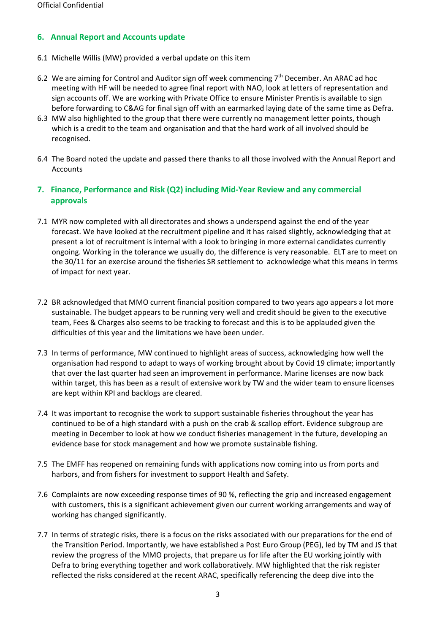# **6. Annual Report and Accounts update**

- 6.1 Michelle Willis (MW) provided a verbal update on this item
- 6.2 We are aiming for Control and Auditor sign off week commencing 7<sup>th</sup> December. An ARAC ad hoc meeting with HF will be needed to agree final report with NAO, look at letters of representation and sign accounts off. We are working with Private Office to ensure Minister Prentis is available to sign before forwarding to C&AG for final sign off with an earmarked laying date of the same time as Defra.
- 6.3 MW also highlighted to the group that there were currently no management letter points, though which is a credit to the team and organisation and that the hard work of all involved should be recognised.
- 6.4 The Board noted the update and passed there thanks to all those involved with the Annual Report and Accounts

# **7. Finance, Performance and Risk (Q2) including Mid-Year Review and any commercial approvals**

- 7.1 MYR now completed with all directorates and shows a underspend against the end of the year forecast. We have looked at the recruitment pipeline and it has raised slightly, acknowledging that at present a lot of recruitment is internal with a look to bringing in more external candidates currently ongoing. Working in the tolerance we usually do, the difference is very reasonable. ELT are to meet on the 30/11 for an exercise around the fisheries SR settlement to acknowledge what this means in terms of impact for next year.
- 7.2 BR acknowledged that MMO current financial position compared to two years ago appears a lot more sustainable. The budget appears to be running very well and credit should be given to the executive team, Fees & Charges also seems to be tracking to forecast and this is to be applauded given the difficulties of this year and the limitations we have been under.
- 7.3 In terms of performance, MW continued to highlight areas of success, acknowledging how well the organisation had respond to adapt to ways of working brought about by Covid 19 climate; importantly that over the last quarter had seen an improvement in performance. Marine licenses are now back within target, this has been as a result of extensive work by TW and the wider team to ensure licenses are kept within KPI and backlogs are cleared.
- 7.4 It was important to recognise the work to support sustainable fisheries throughout the year has continued to be of a high standard with a push on the crab & scallop effort. Evidence subgroup are meeting in December to look at how we conduct fisheries management in the future, developing an evidence base for stock management and how we promote sustainable fishing.
- 7.5 The EMFF has reopened on remaining funds with applications now coming into us from ports and harbors, and from fishers for investment to support Health and Safety.
- 7.6 Complaints are now exceeding response times of 90 %, reflecting the grip and increased engagement with customers, this is a significant achievement given our current working arrangements and way of working has changed significantly.
- 7.7 In terms of strategic risks, there is a focus on the risks associated with our preparations for the end of the Transition Period. Importantly, we have established a Post Euro Group (PEG), led by TM and JS that review the progress of the MMO projects, that prepare us for life after the EU working jointly with Defra to bring everything together and work collaboratively. MW highlighted that the risk register reflected the risks considered at the recent ARAC, specifically referencing the deep dive into the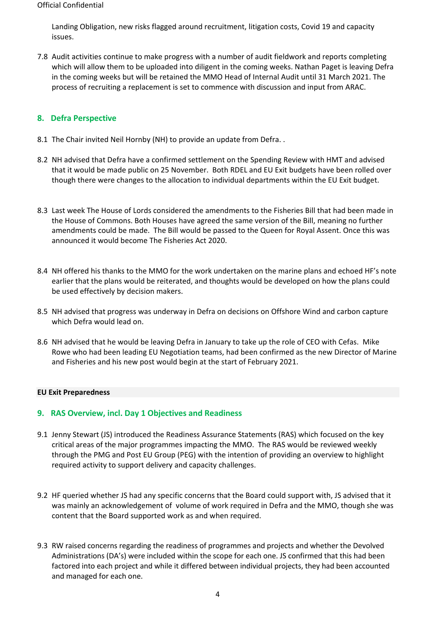#### Official Confidential

Landing Obligation, new risks flagged around recruitment, litigation costs, Covid 19 and capacity issues.

7.8 Audit activities continue to make progress with a number of audit fieldwork and reports completing which will allow them to be uploaded into diligent in the coming weeks. Nathan Paget is leaving Defra in the coming weeks but will be retained the MMO Head of Internal Audit until 31 March 2021. The process of recruiting a replacement is set to commence with discussion and input from ARAC.

### **8. Defra Perspective**

- 8.1 The Chair invited Neil Hornby (NH) to provide an update from Defra..
- 8.2 NH advised that Defra have a confirmed settlement on the Spending Review with HMT and advised that it would be made public on 25 November. Both RDEL and EU Exit budgets have been rolled over though there were changes to the allocation to individual departments within the EU Exit budget.
- 8.3 Last week The House of Lords considered the amendments to the Fisheries Bill that had been made in the House of Commons. Both Houses have agreed the same version of the Bill, meaning no further amendments could be made. The Bill would be passed to the Queen for Royal Assent. Once this was announced it would become The Fisheries Act 2020.
- 8.4 NH offered his thanks to the MMO for the work undertaken on the marine plans and echoed HF's note earlier that the plans would be reiterated, and thoughts would be developed on how the plans could be used effectively by decision makers.
- 8.5 NH advised that progress was underway in Defra on decisions on Offshore Wind and carbon capture which Defra would lead on.
- 8.6 NH advised that he would be leaving Defra in January to take up the role of CEO with Cefas. Mike Rowe who had been leading EU Negotiation teams, had been confirmed as the new Director of Marine and Fisheries and his new post would begin at the start of February 2021.

#### **EU Exit Preparedness**

#### **9. RAS Overview, incl. Day 1 Objectives and Readiness**

- 9.1 Jenny Stewart (JS) introduced the Readiness Assurance Statements (RAS) which focused on the key critical areas of the major programmes impacting the MMO. The RAS would be reviewed weekly through the PMG and Post EU Group (PEG) with the intention of providing an overview to highlight required activity to support delivery and capacity challenges.
- 9.2 HF queried whether JS had any specific concerns that the Board could support with, JS advised that it was mainly an acknowledgement of volume of work required in Defra and the MMO, though she was content that the Board supported work as and when required.
- 9.3 RW raised concerns regarding the readiness of programmes and projects and whether the Devolved Administrations (DA's) were included within the scope for each one. JS confirmed that this had been factored into each project and while it differed between individual projects, they had been accounted and managed for each one.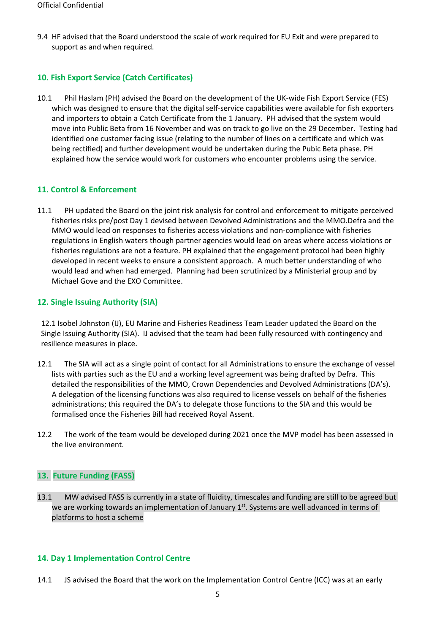9.4 HF advised that the Board understood the scale of work required for EU Exit and were prepared to support as and when required.

# **10. Fish Export Service (Catch Certificates)**

10.1 Phil Haslam (PH) advised the Board on the development of the UK-wide Fish Export Service (FES) which was designed to ensure that the digital self-service capabilities were available for fish exporters and importers to obtain a Catch Certificate from the 1 January. PH advised that the system would move into Public Beta from 16 November and was on track to go live on the 29 December. Testing had identified one customer facing issue (relating to the number of lines on a certificate and which was being rectified) and further development would be undertaken during the Pubic Beta phase. PH explained how the service would work for customers who encounter problems using the service.

#### **11. Control & Enforcement**

11.1 PH updated the Board on the joint risk analysis for control and enforcement to mitigate perceived fisheries risks pre/post Day 1 devised between Devolved Administrations and the MMO.Defra and the MMO would lead on responses to fisheries access violations and non-compliance with fisheries regulations in English waters though partner agencies would lead on areas where access violations or fisheries regulations are not a feature. PH explained that the engagement protocol had been highly developed in recent weeks to ensure a consistent approach. A much better understanding of who would lead and when had emerged. Planning had been scrutinized by a Ministerial group and by Michael Gove and the EXO Committee.

#### **12. Single Issuing Authority (SIA)**

12.1 Isobel Johnston (IJ), EU Marine and Fisheries Readiness Team Leader updated the Board on the Single Issuing Authority (SIA). IJ advised that the team had been fully resourced with contingency and resilience measures in place.

- 12.1 The SIA will act as a single point of contact for all Administrations to ensure the exchange of vessel lists with parties such as the EU and a working level agreement was being drafted by Defra. This detailed the responsibilities of the MMO, Crown Dependencies and Devolved Administrations (DA's). A delegation of the licensing functions was also required to license vessels on behalf of the fisheries administrations; this required the DA's to delegate those functions to the SIA and this would be formalised once the Fisheries Bill had received Royal Assent.
- 12.2 The work of the team would be developed during 2021 once the MVP model has been assessed in the live environment.

#### **13. Future Funding (FASS)**

13.1 MW advised FASS is currently in a state of fluidity, timescales and funding are still to be agreed but we are working towards an implementation of January 1<sup>st</sup>. Systems are well advanced in terms of platforms to host a scheme

#### **14. Day 1 Implementation Control Centre**

14.1 JS advised the Board that the work on the Implementation Control Centre (ICC) was at an early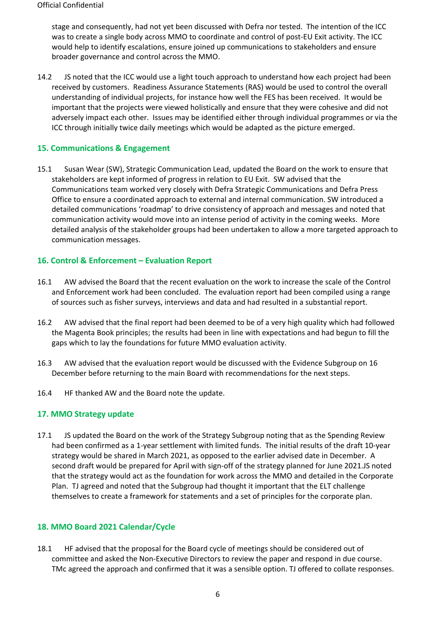stage and consequently, had not yet been discussed with Defra nor tested. The intention of the ICC was to create a single body across MMO to coordinate and control of post-EU Exit activity. The ICC would help to identify escalations, ensure joined up communications to stakeholders and ensure broader governance and control across the MMO.

14.2 JS noted that the ICC would use a light touch approach to understand how each project had been received by customers. Readiness Assurance Statements (RAS) would be used to control the overall understanding of individual projects, for instance how well the FES has been received. It would be important that the projects were viewed holistically and ensure that they were cohesive and did not adversely impact each other. Issues may be identified either through individual programmes or via the ICC through initially twice daily meetings which would be adapted as the picture emerged.

#### **15. Communications & Engagement**

15.1 Susan Wear (SW), Strategic Communication Lead, updated the Board on the work to ensure that stakeholders are kept informed of progress in relation to EU Exit. SW advised that the Communications team worked very closely with Defra Strategic Communications and Defra Press Office to ensure a coordinated approach to external and internal communication. SW introduced a detailed communications 'roadmap' to drive consistency of approach and messages and noted that communication activity would move into an intense period of activity in the coming weeks. More detailed analysis of the stakeholder groups had been undertaken to allow a more targeted approach to communication messages.

#### **16. Control & Enforcement – Evaluation Report**

- 16.1 AW advised the Board that the recent evaluation on the work to increase the scale of the Control and Enforcement work had been concluded. The evaluation report had been compiled using a range of sources such as fisher surveys, interviews and data and had resulted in a substantial report.
- 16.2 AW advised that the final report had been deemed to be of a very high quality which had followed the Magenta Book principles; the results had been in line with expectations and had begun to fill the gaps which to lay the foundations for future MMO evaluation activity.
- 16.3 AW advised that the evaluation report would be discussed with the Evidence Subgroup on 16 December before returning to the main Board with recommendations for the next steps.
- 16.4 HF thanked AW and the Board note the update.

#### **17. MMO Strategy update**

17.1 JS updated the Board on the work of the Strategy Subgroup noting that as the Spending Review had been confirmed as a 1-year settlement with limited funds. The initial results of the draft 10-year strategy would be shared in March 2021, as opposed to the earlier advised date in December. A second draft would be prepared for April with sign-off of the strategy planned for June 2021.JS noted that the strategy would act as the foundation for work across the MMO and detailed in the Corporate Plan. TJ agreed and noted that the Subgroup had thought it important that the ELT challenge themselves to create a framework for statements and a set of principles for the corporate plan.

#### **18. MMO Board 2021 Calendar/Cycle**

18.1 HF advised that the proposal for the Board cycle of meetings should be considered out of committee and asked the Non-Executive Directors to review the paper and respond in due course. TMc agreed the approach and confirmed that it was a sensible option. TJ offered to collate responses.